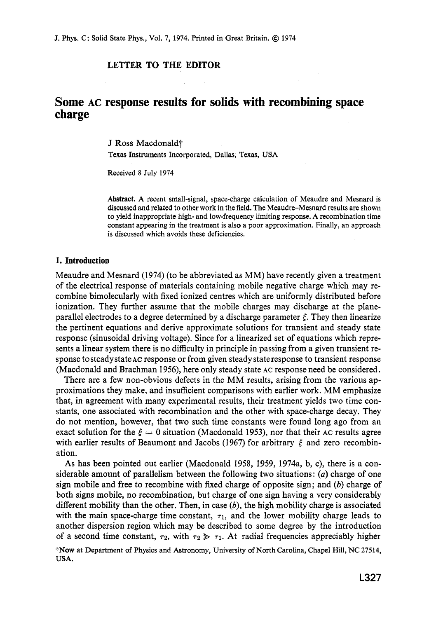## **LETTER TO THE EDITOR**

# **Some AC response results for solids with recombining space charge**

J Ross Macdonald<sup>+</sup>

Texas Instruments Incorporated, Dallas, Texas, **USA** 

Received 8 July **1974** 

Abstract. **A** recent small-signal, space-charge calculation of Meaudre and Mesnard is discussed and related to other **work** in the field. The Meaudre-Mesnard results are **shown**  to yield inappropriate high- and low-frequency limiting response. **A** recombination time constant appearing in the treatment is also a poor approximation. Finally, an approach is discussed which avoids these deficiencies.

#### **1. Introduction**

Meaudre and Mesnard (1974) (to be abbreviated as MM) have recently given a treatment of the electrical response of materials containing mobile negative charge which may recombine bimolecularly with fixed ionized centres which are uniformly distributed before ionization. They further assume that the mobile charges may discharge at the planeparallel electrodes to a degree determined by a discharge parameter *E.* They then linearize the pertinent equations and derive approximate solutions for transient and steady state response (sinusoidal driving voltage). Since for a linearized set of equations which represents a linear system there is no difficulty in principle in passing from a given transient response tosteady state **AC** response or from given steady state response to transient response (Macdonald and Brachman 1956), here only steady state **AC** response need be considered.

There are a few non-obvious defects in the MM results, arising from the various approximations they make, and insufficient comparisons with earlier work. MM emphasize that, in agreement with many experimental results, their treatment yields two time constants, one associated with recombination and the other with space-charge decay. They do not mention, however, that two such time constants were found long ago from an exact solution for the  $\xi = 0$  situation (Macdonald 1953), nor that their AC results agree with earlier results of Beaumont and Jacobs (1967) for arbitrary *E* and zero recombination.

**As** has been pointed out earlier (Macdonald 1958, 1959, 1974a, b, c), there is a considerable amount of parallelism between the following two situations : *(a)* charge of one sign mobile and free to recombine with fixed charge of opposite sign; and *(b)* charge of both signs mobile, no recombination, but charge of one sign having a very considerably different mobility than the other. Then, in case *(b),* the high mobility charge is associated with the main space-charge time constant,  $\tau_1$ , and the lower mobility charge leads to another dispersion region which may be described to some degree by the introduction of a second time constant,  $\tau_2$ , with  $\tau_2 \gg \tau_1$ . At radial frequencies appreciably higher

**?Now** at Department of Physics and Astronomy, University *of* North Carolina, Chapel Hill, NC **27514, USA.**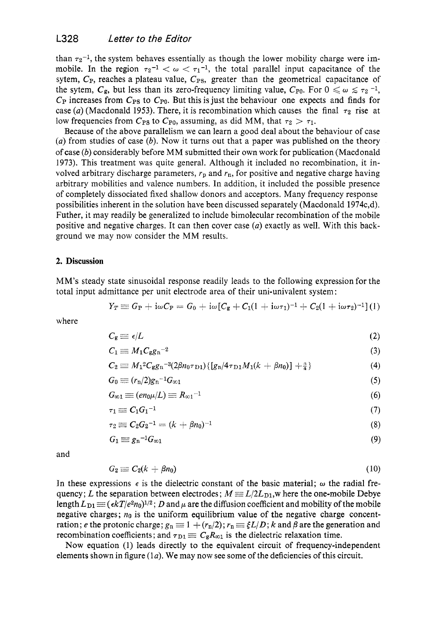than  $\tau_2^{-1}$ , the system behaves essentially as though the lower mobility charge were immobile. In the region  $\tau_2^{-1} < \omega < \tau_1^{-1}$ , the total parallel input capacitance of the sytem,  $C_{P}$ , reaches a plateau value,  $C_{PS}$ , greater than the geometrical capacitance of the sytem,  $C_g$ , but less than its zero-frequency limiting value,  $C_{P0}$ . For  $0 \leq \omega \leq \tau_2^{-1}$ ,  $C_{\rm P}$  increases from  $C_{\rm PS}$  to  $C_{\rm P0}$ . But this is just the behaviour one expects and finds for case (a) (Macdonald 1953). There, it is recombination which causes the final  $\tau_2$  rise at low frequencies from  $C_{PS}$  to  $C_{P0}$ , assuming, as did MM, that  $\tau_2 > \tau_1$ .

Because of the above parallelism we can learn a good deal about the behaviour of case *(a)* from studies of case *(b).* Now it turns out that a paper was published on the theory of case *(b)* considerably before MM submitted their own work for publication (Macdonald 1973). This treatment was quite general. Although it included no recombination, it involved arbitrary discharge parameters,  $r_p$  and  $r_p$ , for positive and negative charge having arbitrary mobilities and valence numbers. In addition, it included the possible presence of completely dissociated fixed shallow donors and acceptors. Many frequency response possibilities inherent in the solution have been discussed separately (Macdonald 1974c,d). Futher, it may readily be generalized to include bimolecular recombination of the mobile positive and negative charges. It can then cover case *(a)* exactly as well. With this background we may now consider the MM results.

### **2. Discussion**

MM's steady state sinusoidal response readily leads to the following expression for the total input admittance per unit electrode area of their uni-univalent system :

$$
Y_T \equiv G_P + {\rm i} \omega C_P = G_0 + {\rm i} \omega [C_{\rm g} + C_1 (1+{\rm i} \omega \tau_1)^{-1} + C_2 (1+{\rm i} \omega \tau_2)^{-1}] \, (1)
$$

where

$$
C_{\rm g} \equiv \epsilon / L \tag{2}
$$

$$
C_1 \equiv M_1 C_{\rm g} g_{\rm n}^{-2} \tag{3}
$$

$$
C_2 \equiv M_1{}^2C_{\rm g}g_n{}^{-3}(2\beta n_0\tau_{\rm D1})\{[g_n/4\tau_{\rm D1}M_1(k+\beta n_0)] + \frac{3}{4}\}\tag{4}
$$

$$
G_0 \equiv (r_n/2)g_n^{-1}G_{\infty 1} \tag{5}
$$

$$
G_{\infty 1} \equiv (en_0 \mu/L) \equiv R_{\infty 1}^{-1} \tag{6}
$$

$$
\tau_1 \equiv C_1 G_1^{-1} \tag{7}
$$

$$
\tau_2 \equiv C_2 G_2^{-1} = (k + \beta n_0)^{-1} \tag{8}
$$

$$
G_1 \equiv g_n^{-1} G_{\infty 1} \tag{9}
$$

and

$$
G_2 \equiv C_2(k + \beta n_0) \tag{10}
$$

In these expressions  $\epsilon$  is the dielectric constant of the basic material;  $\omega$  the radial frequency; L the separation between electrodes;  $M \equiv L/2L_{D1}$ , w here the one-mobile Debye length  $L_{\text{D1}} \equiv (\epsilon kT/e^2 n_0)^{1/2}$ ; D and  $\mu$  are the diffusion coefficient and mobility of the mobile negative charges;  $n_0$  is the uniform equilibrium value of the negative charge concentration; *e* the protonic charge;  $g_n \equiv 1 + (r_n/2); r_n \equiv \xi L/D$ ; *k* and *β* are the generation and recombination coefficients; and  $\tau_{D1} \equiv C_g R_{\infty 1}$  is the dielectric relaxation time.

Now equation (1) leads directly to the equivalent circuit of frequency-independent elements shown in figure  $(1a)$ . We may now see some of the deficiencies of this circuit.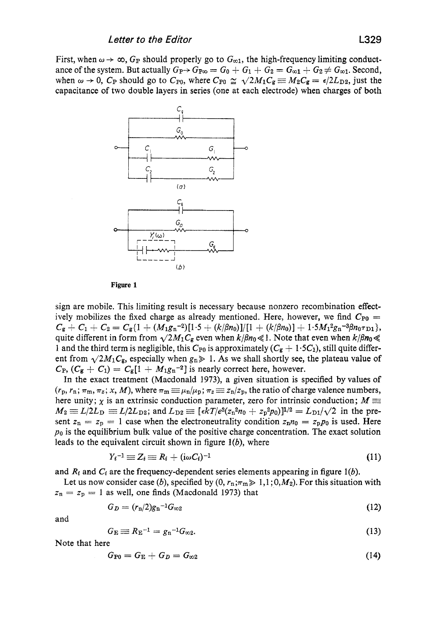First, when  $\omega \rightarrow \infty$ ,  $G_P$  should properly go to  $G_{\infty 1}$ , the high-frequency limiting conductance of the system. But actually  $G_{P} \rightarrow G_{P\infty} = G_0 + G_1 + G_2 = G_{\infty 1} + G_2 \neq G_{\infty 1}$ . Second, when  $\omega \to 0$ ,  $C_P$  should go to  $C_{P0}$ , where  $C_{P0} \simeq \sqrt{2M_1C_g} \equiv M_2C_g = \epsilon/2L_{D2}$ , just the capacitance of two double layers in series (one at each electrode) when charges of both



**Figure 1** 

sign are mobile. This limiting result is necessary because nonzero recombination effectively mobilizes the fixed charge as already mentioned. Here, however, we find  $C_{P0}$  = quite different in form from  $\sqrt{2M_1C_g}$  even when  $k/\beta n_0 \ll 1$ . Note that even when  $k/\beta n_0 \ll 1$ 1 and the third term is negligible, this  $C_{P0}$  is approximately  $(C_{\mathbf{g}} + 1.5C_1)$ , still quite different from  $\sqrt{2M_1C_g}$ , especially when  $g_n \gg 1$ . As we shall shortly see, the plateau value of  $C_{\rm P}$ ,  $(C_{\rm g} + C_1) = C_{\rm g} [1 + M_1 g_{\rm n}^{-2}]$  is nearly correct here, however.  $C_g + C_1 + C_2 = C_g\{1 + (M_1g_n^{-2})[1.5 + (k/\beta n_0)]/[1 + (k/\beta n_0)] + 1.5M_1^2g_n^{-3}\beta n_0\tau_{D1}\},$ 

In the exact treatment (Macdonald 1973), a given situation is specified **by** values of  $(r_p, r_n; \pi_m, \pi_z; x, M)$ , where  $\pi_m \equiv \mu_n/\mu_p; \pi_z \equiv z_n/z_p$ , the ratio of charge valence numbers, here unity;  $\chi$  is an extrinsic conduction parameter, zero for intrinsic conduction;  $M \equiv$  $M_2 \equiv L/2L_D \equiv L/2L_{D2}$ ; and  $L_{D2} \equiv [\epsilon kT/e^2(z_n^2n_0 + z_p^2p_0)]^{1/2} = L_{D1}/\sqrt{2}$  in the present  $z_n = z_p = 1$  case when the electroneutrality condition  $z_n n_0 = z_p p_0$  is used. Here *po* is the equilibrium buIk value of the positive charge concentration. The exact solution leads to the equivalent circuit shown in figure  $l(b)$ , where

$$
Y_i^{-1} \equiv Z_i \equiv R_i + (\mathrm{i}\omega C_i)^{-1} \tag{11}
$$

and  $R_i$  and  $C_i$  are the frequency-dependent series elements appearing in figure 1(b).

 $z_n = z_p = 1$  as well, one finds (Macdonald 1973) that Let us now consider case (b), specified by  $(0, r_n; \pi \to 1, 1; 0, M_2)$ . For this situation with

$$
G_D = (r_n/2)g_n^{-1}G_{\infty 2} \tag{12}
$$

and

$$
G_{\rm E}\equiv R_{\rm E}^{-1}=g_{\rm n}^{-1}G_{\infty 2}.
$$
\n(13)

Note that here

$$
G_{\rm P0}=G_{\rm E}+G_D=G_{\infty 2}\tag{14}
$$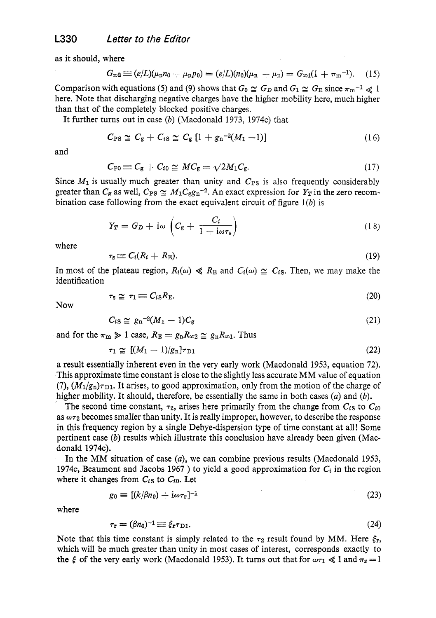as it should, where

$$
G_{\infty 2} \equiv (e/L)(\mu_n n_0 + \mu_p p_0) = (e/L)(n_0)(\mu_n + \mu_p) = G_{\infty 1}(1 + \pi_m^{-1}). \quad (15)
$$

Comparison with equations (5) and (9) shows that  $G_0 \cong G_D$  and  $G_1 \cong G_E$  since  $\pi_m^{-1} \ll 1$ here. Note that discharging negative charges have the higher mobility here, much higher than that of the completely blocked positive charges.

It further turns out in case *(b)* (Macdonald 1973, 1974c) that

$$
C_{\rm PS} \simeq C_{\rm g} + C_{\rm iS} \simeq C_{\rm g} \left[ 1 + g_{\rm n}{}^{-2} (M_1 - 1) \right] \tag{16}
$$

and

$$
C_{\rm P0}\equiv C_{\rm g}+C_{i0}\simeq MC_{\rm g}=\sqrt{2M_1C_{\rm g}}.\tag{17}
$$

Since  $M_1$  is usually much greater than unity and  $C_{PS}$  is also frequently considerably greater than  $C_g$  as well,  $C_{PS} \simeq M_1C_g g_n^{-2}$ . An exact expression for  $Y_T$  in the zero recombination case following from the exact equivalent circuit of figure *l(b)* is

$$
Y_T = G_D + \mathrm{i}\omega \left( C_{\mathrm{g}} + \frac{C_i}{1 + \mathrm{i}\omega \tau_{\mathrm{s}}} \right) \tag{18}
$$

where

 $\overline{a}$ 

$$
s \equiv C_i (R_i + R_{\rm E}). \tag{19}
$$

In most of the plateau region,  $R_i(\omega) \ll R_E$  and  $C_i(\omega) \approx C_i$ . Then, we may make the identification

$$
\tau_{\rm s} \simeq \tau_1 \equiv C_{i\rm s} R_{\rm E}. \tag{20}
$$

Now

$$
C_{iS} \cong g_n^{-2}(M_1 - 1)C_g \tag{21}
$$

and for the  $\pi_{m} \geq 1$  case,  $R_{E} = g_{n} R_{\infty 2} \simeq g_{n} R_{\infty 1}$ . Thus

$$
\tau_1 \geq 1 \text{ case, } \Lambda_E = g_n \Lambda_{\infty 2} \geq g_n \Lambda_{\infty 1}. \text{ Thus}
$$
  

$$
\tau_1 \geq [(M_1 - 1)/g_n] \tau_{\text{D1}} \tag{22}
$$

a result essentially inherent even in the very early work (Macdonald 1953, equation **72).**  This approximate time constant is close to the slightly less accurate MM value of equation (7),  $(M_1/g_n)\tau_{D1}$ . It arises, to good approximation, only from the motion of the charge of higher mobility. It should, therefore, be essentially the same in both cases *(a)* and *(b).* 

The second time constant,  $\tau_2$ , arises here primarily from the change from  $C_{iS}$  to  $C_{i0}$ as  $\omega\tau_2$  becomes smaller than unity. It is really improper, however, to describe the response in this frequency region by a single Debye-dispersion type of time constant at all! Some pertinent case *(b)* results which illustrate this conclusion have already been given (Macdonald 1974c).

In the MM situation of case *(a),* we can combine previous results (Macdonald 1953, 1974c, Beaumont and Jacobs 1967 ) to yield a good approximation for  $C_i$  in the region where it changes from  $C_{iS}$  to  $C_{i0}$ . Let

$$
g_0 \equiv [(k/\beta n_0) + i\omega \tau_r]^{-1} \tag{23}
$$

where

$$
\tau_{\mathbf{r}} = (\beta n_0)^{-1} \equiv \xi_{\mathbf{r}} \tau_{\mathbf{D}1}.
$$
 (24)

Note that this time constant is simply related to the  $\tau_2$  result found by MM. Here  $\xi_r$ , which will be much greater than unity in most cases of interest, corresponds exactly to the  $\xi$  of the very early work (Macdonald 1953). It turns out that for  $\omega \tau_1 \ll 1$  and  $\pi_z = 1$